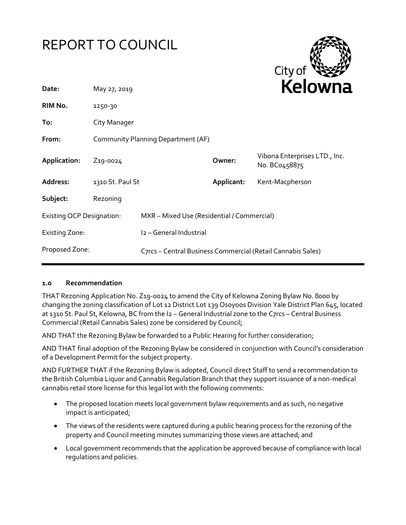# REPORT TO COUNCIL



| Date:                            | May 27, 2019                       |                                                             | REIUWIId   |                                                |
|----------------------------------|------------------------------------|-------------------------------------------------------------|------------|------------------------------------------------|
| RIM No.                          | 1250-30                            |                                                             |            |                                                |
| To:                              | City Manager                       |                                                             |            |                                                |
| From:                            | Community Planning Department (AF) |                                                             |            |                                                |
| Application:                     | Z <sub>19</sub> -0024              |                                                             | Owner:     | Vibona Enterprises LTD., Inc.<br>No. BC0458875 |
| Address:                         | 1310 St. Paul St                   |                                                             | Applicant: | Kent-Macpherson                                |
| Subject:                         | Rezoning                           |                                                             |            |                                                |
| <b>Existing OCP Designation:</b> |                                    | MXR - Mixed Use (Residential / Commercial)                  |            |                                                |
| <b>Existing Zone:</b>            |                                    | I2 - General Industrial                                     |            |                                                |
| Proposed Zone:                   |                                    | C7rcs - Central Business Commercial (Retail Cannabis Sales) |            |                                                |

#### **1.0 Recommendation**

THAT Rezoning Application No. Z19-0024 to amend the City of Kelowna Zoning Bylaw No. 8000 by changing the zoning classification of Lot 12 District Lot 139 Osoyoos Division Yale District Plan 645, located at 1310 St. Paul St, Kelowna, BC from the I2 - General Industrial zone to the C7rcs - Central Business Commercial (Retail Cannabis Sales) zone be considered by Council;

AND THAT the Rezoning Bylaw be forwarded to a Public Hearing for further consideration;

AND THAT final adoption of the Rezoning Bylaw be considered in conjunction with Council's consideration of a Development Permit for the subject property.

AND FURTHER THAT if the Rezoning Bylaw is adopted, Council direct Staff to send a recommendation to the British Columbia Liquor and Cannabis Regulation Branch that they support issuance of a non-medical cannabis retail store license for this legal lot with the following comments:

- The proposed location meets local government bylaw requirements and as such, no negative impact is anticipated;
- The views of the residents were captured during a public hearing process for the rezoning of the property and Council meeting minutes summarizing those views are attached; and
- Local government recommends that the application be approved because of compliance with local regulations and policies.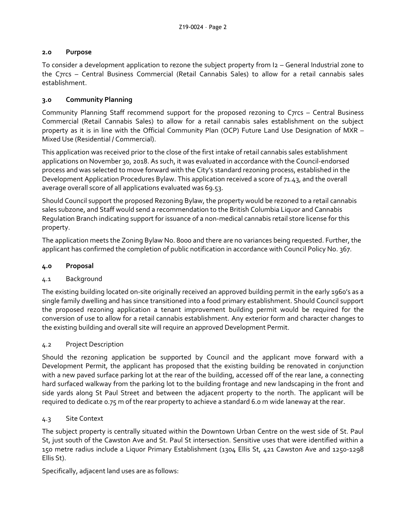## **2.0 Purpose**

To consider a development application to rezone the subject property from I2 – General Industrial zone to the C7rcs – Central Business Commercial (Retail Cannabis Sales) to allow for a retail cannabis sales establishment.

## **3.0 Community Planning**

Community Planning Staff recommend support for the proposed rezoning to C7rcs – Central Business Commercial (Retail Cannabis Sales) to allow for a retail cannabis sales establishment on the subject property as it is in line with the Official Community Plan (OCP) Future Land Use Designation of MXR – Mixed Use (Residential / Commercial).

This application was received prior to the close of the first intake of retail cannabis sales establishment applications on November 30, 2018. As such, it was evaluated in accordance with the Council-endorsed process and was selected to move forward with the City's standard rezoning process, established in the Development Application Procedures Bylaw. This application received a score of 71.43, and the overall average overall score of all applications evaluated was 69.53.

Should Council support the proposed Rezoning Bylaw, the property would be rezoned to a retail cannabis sales subzone, and Staff would send a recommendation to the British Columbia Liquor and Cannabis Regulation Branch indicating support for issuance of a non-medical cannabis retail store license for this property.

The application meets the Zoning Bylaw No. 8000 and there are no variances being requested. Further, the applicant has confirmed the completion of public notification in accordance with Council Policy No. 367.

## **4.0 Proposal**

## 4.1 Background

The existing building located on-site originally received an approved building permit in the early 1960's as a single family dwelling and has since transitioned into a food primary establishment. Should Council support the proposed rezoning application a tenant improvement building permit would be required for the conversion of use to allow for a retail cannabis establishment. Any exterior form and character changes to the existing building and overall site will require an approved Development Permit.

## 4.2 Project Description

Should the rezoning application be supported by Council and the applicant move forward with a Development Permit, the applicant has proposed that the existing building be renovated in conjunction with a new paved surface parking lot at the rear of the building, accessed off of the rear lane, a connecting hard surfaced walkway from the parking lot to the building frontage and new landscaping in the front and side yards along St Paul Street and between the adjacent property to the north. The applicant will be required to dedicate 0.75 m of the rear property to achieve a standard 6.0 m wide laneway at the rear.

## 4.3 Site Context

The subject property is centrally situated within the Downtown Urban Centre on the west side of St. Paul St, just south of the Cawston Ave and St. Paul St intersection. Sensitive uses that were identified within a 150 metre radius include a Liquor Primary Establishment (1304 Ellis St, 421 Cawston Ave and 1250-1298 Ellis St).

Specifically, adjacent land uses are as follows: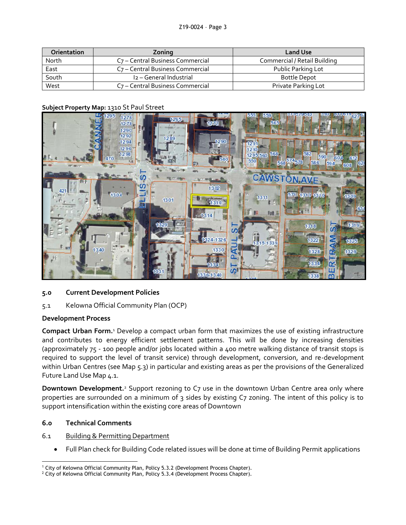| <b>Orientation</b> | Zoning                                       | <b>Land Use</b>              |
|--------------------|----------------------------------------------|------------------------------|
| North              | C <sub>7</sub> – Central Business Commercial | Commercial / Retail Building |
| East               | C <sub>7</sub> – Central Business Commercial | Public Parking Lot           |
| South              | I2 - General Industrial                      | <b>Bottle Depot</b>          |
| West               | C <sub>7</sub> – Central Business Commercial | Private Parking Lot          |

#### **Subject Property Map:** 1310 St Paul Street



## **5.0 Current Development Policies**

5.1 Kelowna Official Community Plan (OCP)

## **Development Process**

**Compact Urban Form.**<sup>1</sup> Develop a compact urban form that maximizes the use of existing infrastructure and contributes to energy efficient settlement patterns. This will be done by increasing densities (approximately 75 - 100 people and/or jobs located within a 400 metre walking distance of transit stops is required to support the level of transit service) through development, conversion, and re-development within Urban Centres (see Map 5.3) in particular and existing areas as per the provisions of the Generalized Future Land Use Map 4.1.

**Downtown Development.**<sup>2</sup> Support rezoning to C7 use in the downtown Urban Centre area only where properties are surrounded on a minimum of 3 sides by existing C7 zoning. The intent of this policy is to support intensification within the existing core areas of Downtown

## **6.0 Technical Comments**

#### 6.1 Building & Permitting Department

Full Plan check for Building Code related issues will be done at time of Building Permit applications

<sup>-</sup><sup>1</sup> City of Kelowna Official Community Plan, Policy 5.3.2 (Development Process Chapter).

<sup>&</sup>lt;sup>2</sup> City of Kelowna Official Community Plan, Policy 5.3.4 (Development Process Chapter).